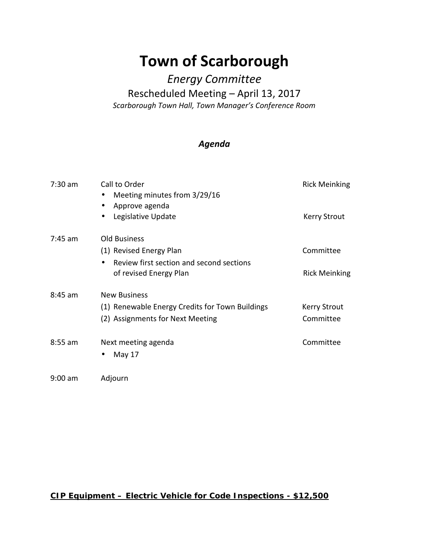## **Town of Scarborough**

## *Energy Committee*

## Rescheduled Meeting – April 13, 2017

*Scarborough Town Hall, Town Manager's Conference Room*

## *Agenda*

| $7:30$ am | Call to Order<br>Meeting minutes from 3/29/16<br>$\bullet$<br>Approve agenda<br>$\bullet$<br>Legislative Update<br>$\bullet$      | <b>Rick Meinking</b><br><b>Kerry Strout</b> |
|-----------|-----------------------------------------------------------------------------------------------------------------------------------|---------------------------------------------|
| $7:45$ am | <b>Old Business</b><br>(1) Revised Energy Plan<br>Review first section and second sections<br>$\bullet$<br>of revised Energy Plan | Committee<br><b>Rick Meinking</b>           |
| $8:45$ am | <b>New Business</b><br>(1) Renewable Energy Credits for Town Buildings<br>(2) Assignments for Next Meeting                        | <b>Kerry Strout</b><br>Committee            |
| $8:55$ am | Next meeting agenda<br>May 17<br>$\bullet$                                                                                        | Committee                                   |
| $9:00$ am | Adjourn                                                                                                                           |                                             |

*CIP Equipment – Electric Vehicle for Code Inspections -\$12,500*